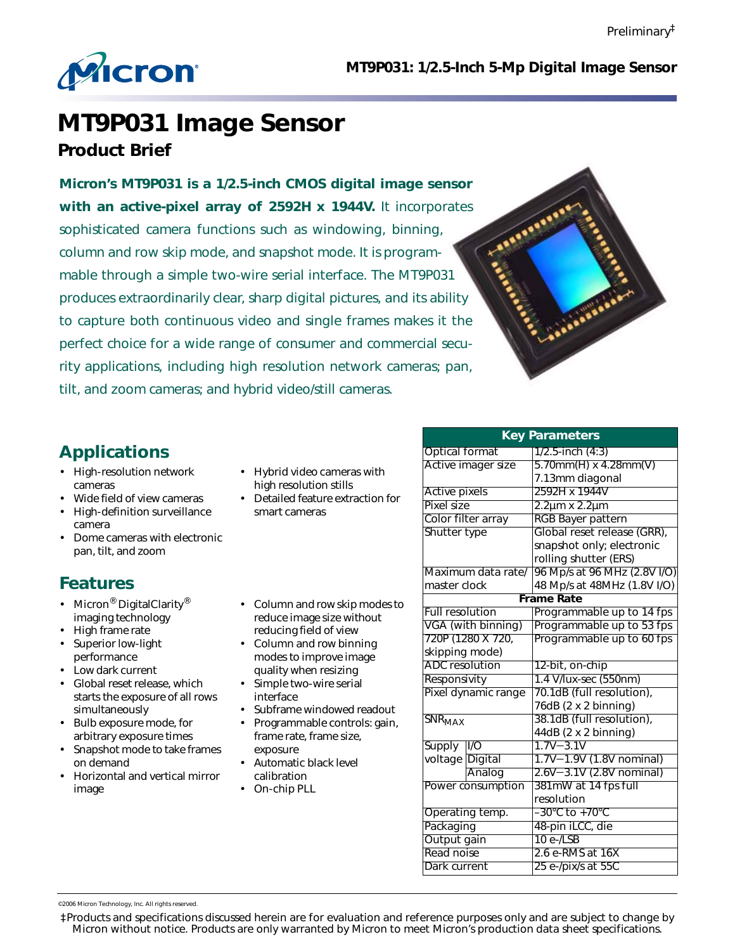

 **MT9P031: 1/2.5-Inch 5-Mp Digital Image Sensor**

# **MT9P031 Image Sensor Product Brief**

**Micron's MT9P031 is a 1/2.5-inch CMOS digital image sensor with an active-pixel array of 2592H x 1944V.** It incorporates sophisticated camera functions such as windowing, binning, column and row skip mode, and snapshot mode. It is programmable through a simple two-wire serial interface. The MT9P031 produces extraordinarily clear, sharp digital pictures, and its ability to capture both continuous video and single frames makes it the perfect choice for a wide range of consumer and commercial security applications, including high resolution network cameras; pan, tilt, and zoom cameras; and hybrid video/still cameras.



# **Applications**

- High-resolution network cameras
- Wide field of view cameras
- High-definition surveillance camera
- Dome cameras with electronic pan, tilt, and zoom

# **Features**

- Micron<sup>®</sup> DigitalClarity<sup>®</sup> imaging technology
- High frame rate
- Superior low-light performance
- Low dark current
- Global reset release, which starts the exposure of all rows simultaneously
- Bulb exposure mode, for arbitrary exposure times
- Snapshot mode to take frames on demand
- Horizontal and vertical mirror image
- Hybrid video cameras with high resolution stills
- Detailed feature extraction for smart cameras
- Column and row skip modes to reduce image size without reducing field of view
- Column and row binning modes to improve image quality when resizing
- Simple two-wire serial interface
- Subframe windowed readout • Programmable controls: gain,
- frame rate, frame size, exposure
- Automatic black level calibration
- On-chip PLL

| <b>Key Parameters</b>    |                     |                                |  |  |
|--------------------------|---------------------|--------------------------------|--|--|
| <b>Optical format</b>    |                     | $1/2.5$ -inch $(4:3)$          |  |  |
|                          | Active imager size  | $5.70$ mm $(H)$ x 4.28mm $(V)$ |  |  |
|                          |                     | 7.13mm diagonal                |  |  |
| <b>Active pixels</b>     |                     | 2592H x 1944V                  |  |  |
| Pixel size               |                     | 2.2µm x 2.2µm                  |  |  |
|                          | Color filter array  | <b>RGB Bayer pattern</b>       |  |  |
| Shutter type             |                     | Global reset release (GRR),    |  |  |
|                          |                     | snapshot only; electronic      |  |  |
|                          |                     | rolling shutter (ERS)          |  |  |
|                          | Maximum data rate/  | 96 Mp/s at 96 MHz (2.8V I/O)   |  |  |
| master clock             |                     | 48 Mp/s at 48MHz (1.8V I/O)    |  |  |
| <b>Frame Rate</b>        |                     |                                |  |  |
| <b>Full resolution</b>   |                     | Programmable up to 14 fps      |  |  |
|                          | VGA (with binning)  | Programmable up to 53 fps      |  |  |
|                          | 720P (1280 X 720,   | Programmable up to 60 fps      |  |  |
| skipping mode)           |                     |                                |  |  |
| ADC resolution           |                     | 12-bit, on-chip                |  |  |
| Responsivity             |                     | 1.4 V/lux-sec (550nm)          |  |  |
|                          | Pixel dynamic range | 70.1dB (full resolution),      |  |  |
|                          |                     | 76dB (2 x 2 binning)           |  |  |
| <b>SNR<sub>MAX</sub></b> |                     | 38.1dB (full resolution),      |  |  |
|                          |                     | 44dB (2 x 2 binning)           |  |  |
| <b>Supply</b>            | $\overline{10}$     | $1.7V - 3.1V$                  |  |  |
| voltage Digital          |                     | 1.7V-1.9V (1.8V nominal)       |  |  |
|                          | Analog              | 2.6V-3.1V (2.8V nominal)       |  |  |
|                          | Power consumption   | 381mW at 14 fps full           |  |  |
|                          |                     | resolution                     |  |  |
| Operating temp.          |                     | –30°C to +70°C                 |  |  |
| Packaging                |                     | 48-pin iLCC, die               |  |  |
| Output gain              |                     | $10e$ -/LSB                    |  |  |
| Read noise               |                     | 2.6 e-RMS at 16X               |  |  |
| Dark current             |                     | 25 e-/pix/s at 55C             |  |  |

©2006 Micron Technology, Inc. All rights reserved

‡Products and specifications discussed herein are for evaluation and reference purposes only and are subject to change by Micron without notice. Products are only warranted by Micron to meet Micron's production data sheet specifications.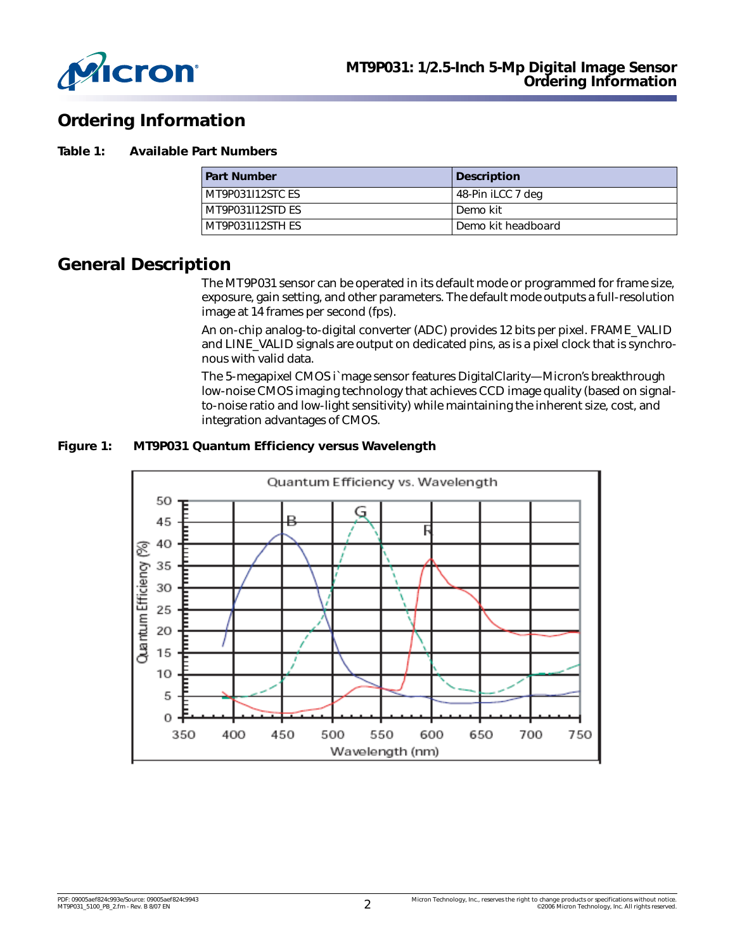

# **Ordering Information**

#### **Table 1: Available Part Numbers**

| <b>Part Number</b> | <b>Description</b> |
|--------------------|--------------------|
| MT9P031I12STC ES   | 48-Pin iLCC 7 deg  |
| MT9P031I12STD ES   | Demo kit           |
| MT9P031I12STH ES   | Demo kit headboard |

# **General Description**

The MT9P031 sensor can be operated in its default mode or programmed for frame size, exposure, gain setting, and other parameters. The default mode outputs a full-resolution image at 14 frames per second (fps).

An on-chip analog-to-digital converter (ADC) provides 12 bits per pixel. FRAME\_VALID and LINE\_VALID signals are output on dedicated pins, as is a pixel clock that is synchronous with valid data.

The 5-megapixel CMOS i`mage sensor features DigitalClarity—Micron's breakthrough low-noise CMOS imaging technology that achieves CCD image quality (based on signalto-noise ratio and low-light sensitivity) while maintaining the inherent size, cost, and integration advantages of CMOS.

### **Figure 1: MT9P031 Quantum Efficiency versus Wavelength**

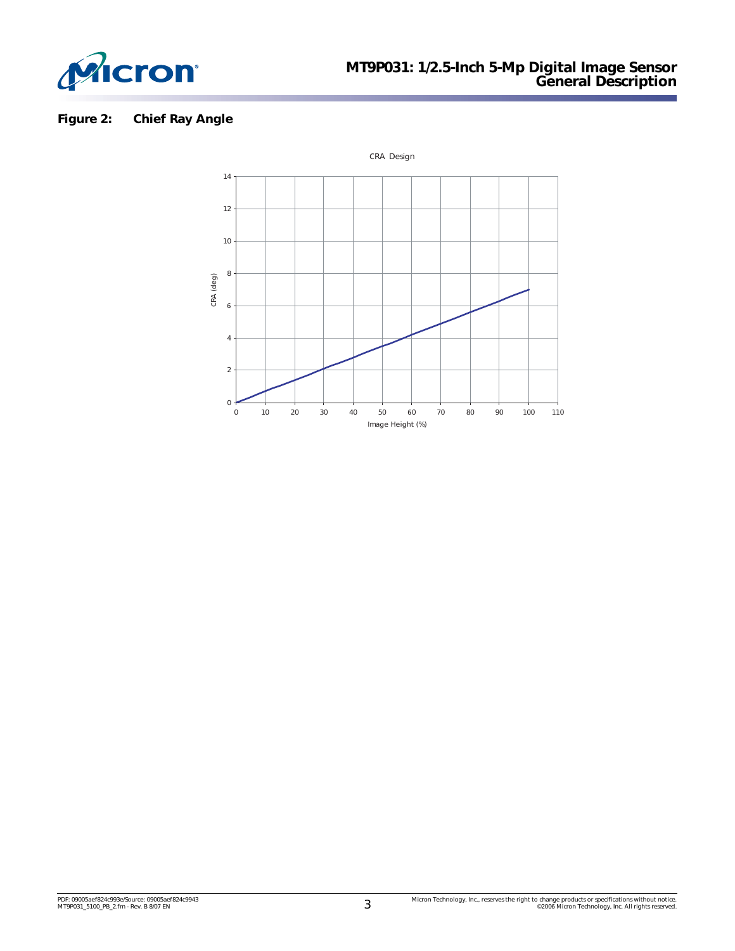

# **Figure 2: Chief Ray Angle**

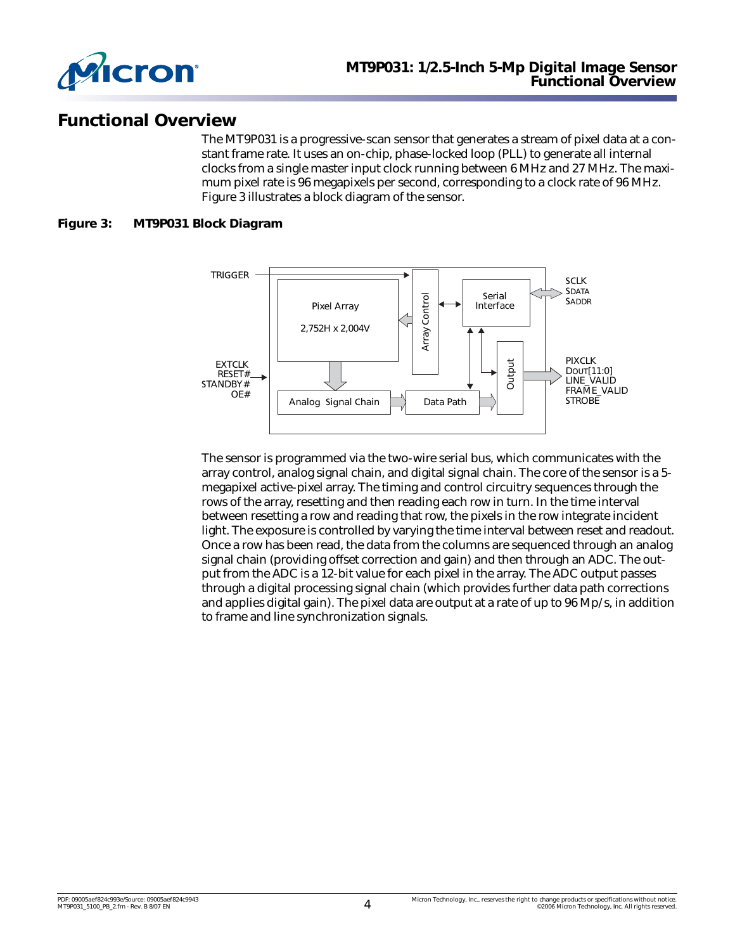

# **Functional Overview**

The MT9P031 is a progressive-scan sensor that generates a stream of pixel data at a constant frame rate. It uses an on-chip, phase-locked loop (PLL) to generate all internal clocks from a single master input clock running between 6 MHz and 27 MHz. The maximum pixel rate is 96 megapixels per second, corresponding to a clock rate of 96 MHz. [Figure 3](#page-3-0) illustrates a block diagram of the sensor.

### <span id="page-3-0"></span>**Figure 3: MT9P031 Block Diagram**



The sensor is programmed via the two-wire serial bus, which communicates with the array control, analog signal chain, and digital signal chain. The core of the sensor is a 5 megapixel active-pixel array. The timing and control circuitry sequences through the rows of the array, resetting and then reading each row in turn. In the time interval between resetting a row and reading that row, the pixels in the row integrate incident light. The exposure is controlled by varying the time interval between reset and readout. Once a row has been read, the data from the columns are sequenced through an analog signal chain (providing offset correction and gain) and then through an ADC. The output from the ADC is a 12-bit value for each pixel in the array. The ADC output passes through a digital processing signal chain (which provides further data path corrections and applies digital gain). The pixel data are output at a rate of up to 96 Mp/s, in addition to frame and line synchronization signals.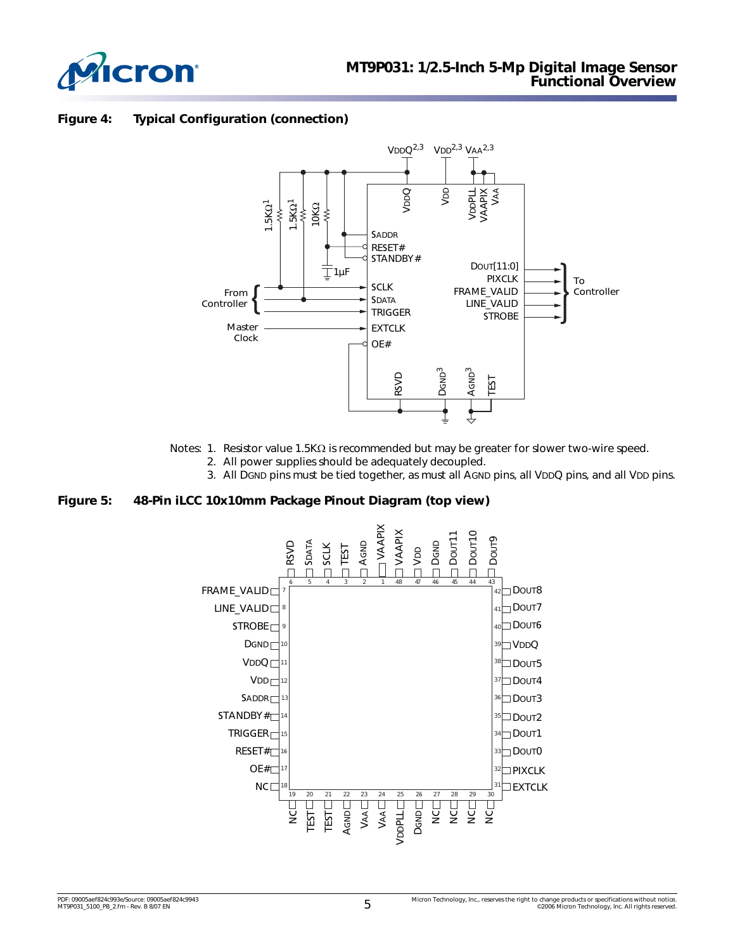

### **Figure 4: Typical Configuration (connection)**



- Notes: 1. Resistor value 1.5KΩ is recommended but may be greater for slower two-wire speed.
	- 2. All power supplies should be adequately decoupled.
	- 3. All DGND pins must be tied together, as must all AGND pins, all VDDQ pins, and all VDD pins.

#### **Figure 5: 48-Pin iLCC 10x10mm Package Pinout Diagram (top view)**

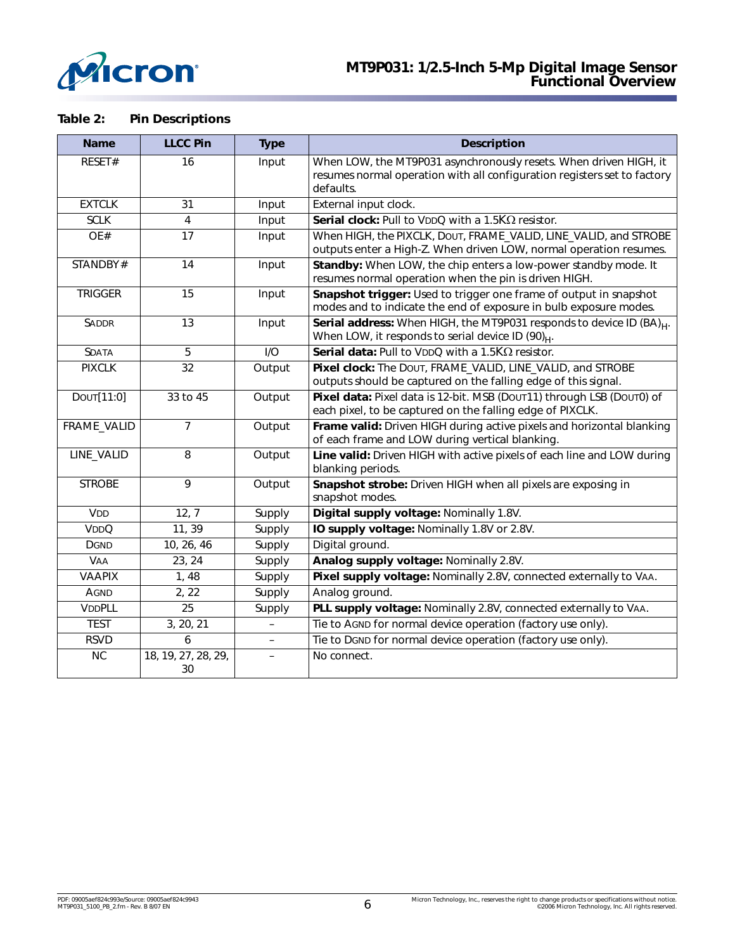

## **Table 2: Pin Descriptions**

| <b>Name</b>       | <b>LLCC Pin</b>           | <b>Type</b>              | <b>Description</b>                                                                                                                                         |  |  |
|-------------------|---------------------------|--------------------------|------------------------------------------------------------------------------------------------------------------------------------------------------------|--|--|
| RESET#            | 16                        | Input                    | When LOW, the MT9P031 asynchronously resets. When driven HIGH, it<br>resumes normal operation with all configuration registers set to factory<br>defaults. |  |  |
| <b>EXTCLK</b>     | 31                        | Input                    | External input clock.                                                                                                                                      |  |  |
| <b>SCLK</b>       | $\overline{4}$            | Input                    | Serial clock: Pull to VDDQ with a 1.5 $K\Omega$ resistor.                                                                                                  |  |  |
| OE#               | 17                        | Input                    | When HIGH, the PIXCLK, DOUT, FRAME_VALID, LINE_VALID, and STROBE<br>outputs enter a High-Z. When driven LOW, normal operation resumes.                     |  |  |
| STANDBY#          | 14                        | Input                    | Standby: When LOW, the chip enters a low-power standby mode. It<br>resumes normal operation when the pin is driven HIGH.                                   |  |  |
| <b>TRIGGER</b>    | 15                        | Input                    | Snapshot trigger: Used to trigger one frame of output in snapshot<br>modes and to indicate the end of exposure in bulb exposure modes.                     |  |  |
| <b>SADDR</b>      | 13                        | Input                    | Serial address: When HIGH, the MT9P031 responds to device ID (BA) <sub>H</sub> .<br>When LOW, it responds to serial device ID (90) $_{H}$ .                |  |  |
| <b>SDATA</b>      | 5                         | I/O                      | Serial data: Pull to VDDQ with a 1.5KΩ resistor.                                                                                                           |  |  |
| <b>PIXCLK</b>     | 32                        | Output                   | Pixel clock: The DOUT, FRAME_VALID, LINE_VALID, and STROBE<br>outputs should be captured on the falling edge of this signal.                               |  |  |
| DOUT[11:0]        | 33 to 45                  | Output                   | Pixel data: Pixel data is 12-bit. MSB (Dout11) through LSB (Dout0) of<br>each pixel, to be captured on the falling edge of PIXCLK.                         |  |  |
| FRAME_VALID       | $\overline{7}$            | Output                   | Frame valid: Driven HIGH during active pixels and horizontal blanking<br>of each frame and LOW during vertical blanking.                                   |  |  |
| LINE_VALID        | 8                         | Output                   | Line valid: Driven HIGH with active pixels of each line and LOW during<br>blanking periods.                                                                |  |  |
| <b>STROBE</b>     | $\overline{9}$            | Output                   | Snapshot strobe: Driven HIGH when all pixels are exposing in<br>snapshot modes.                                                                            |  |  |
| <b>VDD</b>        | 12, 7                     | Supply                   | Digital supply voltage: Nominally 1.8V.                                                                                                                    |  |  |
| V <sub>DD</sub> Q | 11, 39                    | Supply                   | IO supply voltage: Nominally 1.8V or 2.8V.                                                                                                                 |  |  |
| <b>DGND</b>       | 10, 26, 46                | Supply                   | Digital ground.                                                                                                                                            |  |  |
| <b>VAA</b>        | 23, 24                    | Supply                   | Analog supply voltage: Nominally 2.8V.                                                                                                                     |  |  |
| <b>VAAPIX</b>     | 1,48                      | Supply                   | Pixel supply voltage: Nominally 2.8V, connected externally to VAA.                                                                                         |  |  |
| AGND              | 2, 22                     | Supply                   | Analog ground.                                                                                                                                             |  |  |
| <b>VDDPLL</b>     | 25                        | Supply                   | PLL supply voltage: Nominally 2.8V, connected externally to VAA.                                                                                           |  |  |
| <b>TEST</b>       | 3, 20, 21                 | $\overline{\phantom{0}}$ | Tie to AGND for normal device operation (factory use only).                                                                                                |  |  |
| <b>RSVD</b>       | 6                         |                          | Tie to DGND for normal device operation (factory use only).                                                                                                |  |  |
| <b>NC</b>         | 18, 19, 27, 28, 29,<br>30 |                          | No connect.                                                                                                                                                |  |  |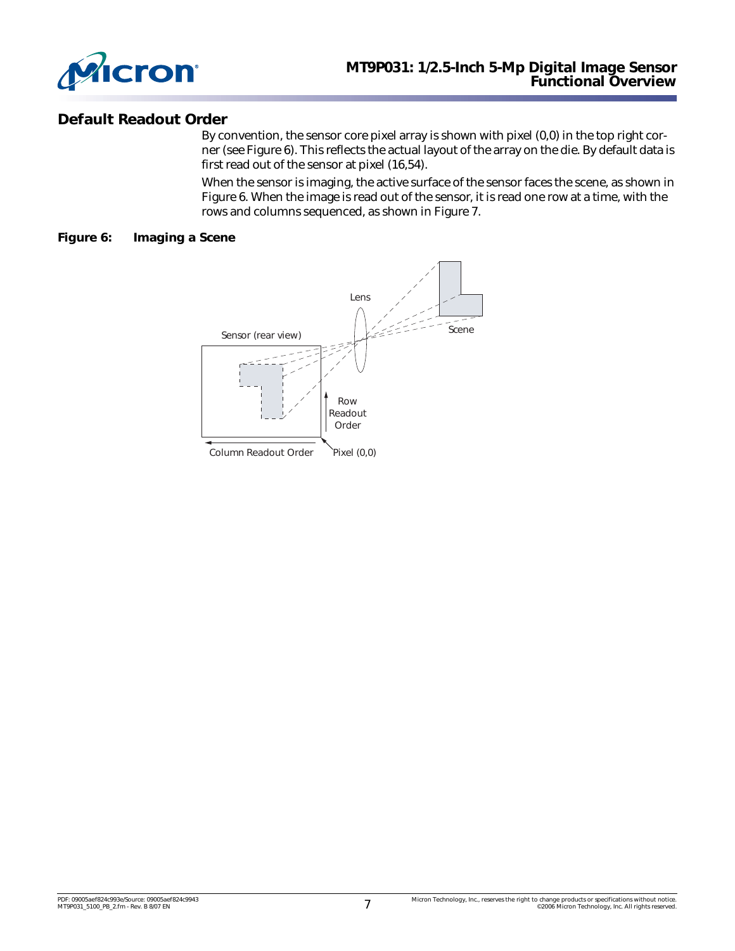

## **Default Readout Order**

By convention, the sensor core pixel array is shown with pixel (0,0) in the top right corner (see [Figure 6\)](#page-6-0). This reflects the actual layout of the array on the die. By default data is first read out of the sensor at pixel (16,54).

When the sensor is imaging, the active surface of the sensor faces the scene, as shown in [Figure 6](#page-6-0). When the image is read out of the sensor, it is read one row at a time, with the rows and columns sequenced, as shown in [Figure 7.](#page-7-0)

#### <span id="page-6-0"></span>**Figure 6: Imaging a Scene**

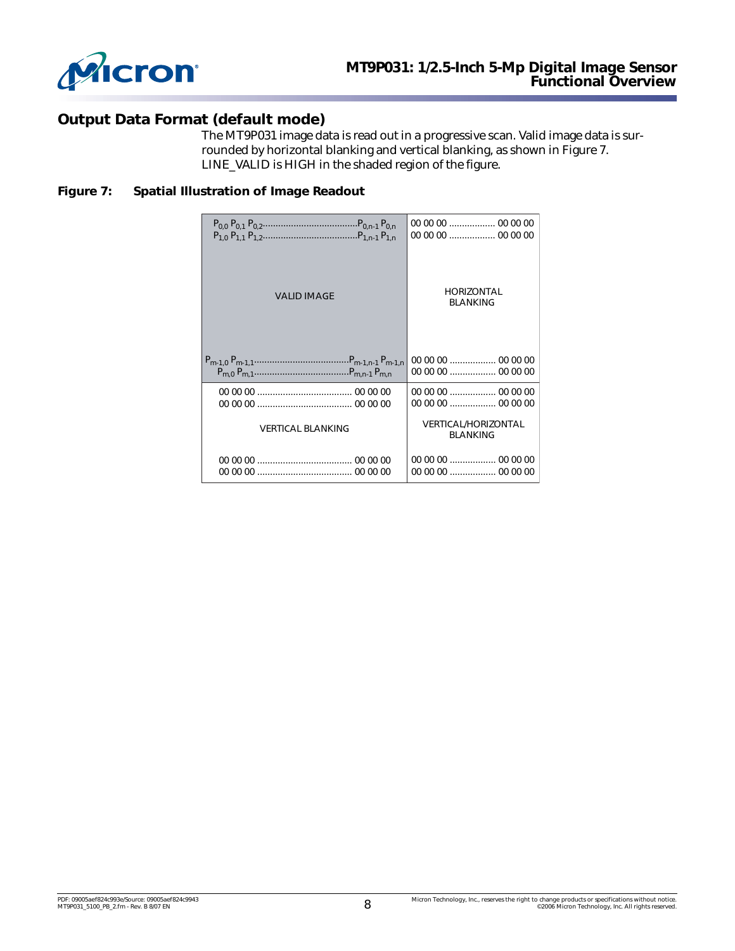

# **Output Data Format (default mode)**

The MT9P031 image data is read out in a progressive scan. Valid image data is surrounded by horizontal blanking and vertical blanking, as shown in [Figure 7.](#page-7-0) LINE\_VALID is HIGH in the shaded region of the figure.

### <span id="page-7-0"></span>**Figure 7: Spatial Illustration of Image Readout**

| <b>VALID IMAGE</b>       | <b>HORIZONTAL</b><br><b>BLANKING</b>          |  |  |
|--------------------------|-----------------------------------------------|--|--|
|                          |                                               |  |  |
|                          |                                               |  |  |
|                          |                                               |  |  |
| <b>VERTICAL BLANKING</b> | <b>VERTICAL/HORIZONTAL</b><br><b>BLANKING</b> |  |  |
|                          |                                               |  |  |
|                          |                                               |  |  |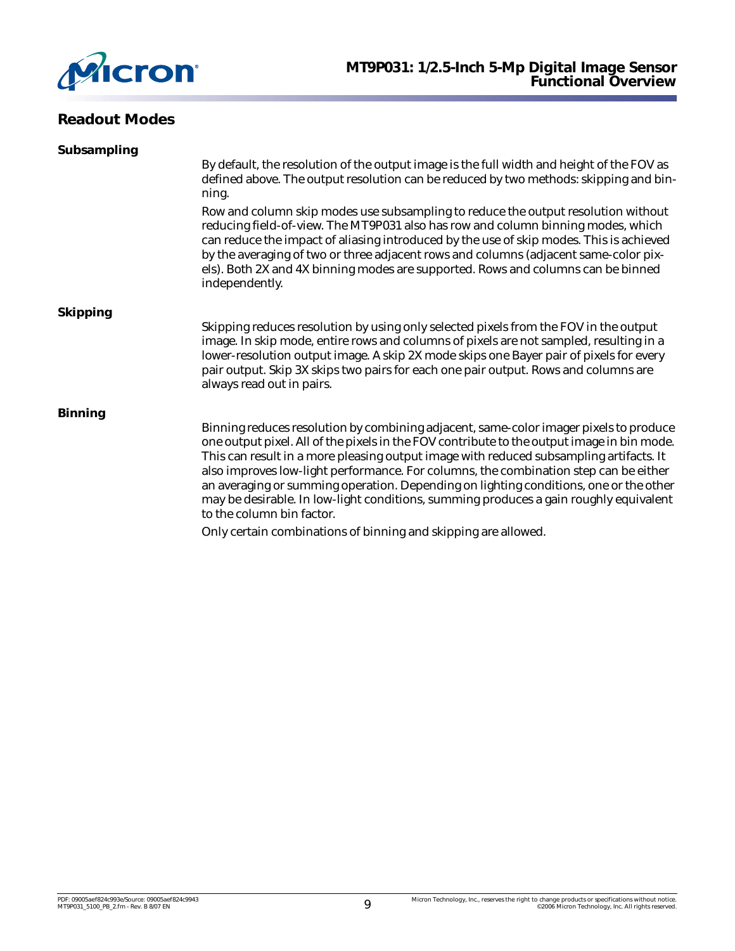

# **Readout Modes**

| Subsampling     |                                                                                                                                                                                                                                                                                                                                                                                                                                                                                                                                                                                      |  |
|-----------------|--------------------------------------------------------------------------------------------------------------------------------------------------------------------------------------------------------------------------------------------------------------------------------------------------------------------------------------------------------------------------------------------------------------------------------------------------------------------------------------------------------------------------------------------------------------------------------------|--|
|                 | By default, the resolution of the output image is the full width and height of the FOV as<br>defined above. The output resolution can be reduced by two methods: skipping and bin-<br>ning.                                                                                                                                                                                                                                                                                                                                                                                          |  |
|                 | Row and column skip modes use subsampling to reduce the output resolution without<br>reducing field-of-view. The MT9P031 also has row and column binning modes, which<br>can reduce the impact of aliasing introduced by the use of skip modes. This is achieved<br>by the averaging of two or three adjacent rows and columns (adjacent same-color pix-<br>els). Both 2X and 4X binning modes are supported. Rows and columns can be binned<br>independently.                                                                                                                       |  |
| <b>Skipping</b> |                                                                                                                                                                                                                                                                                                                                                                                                                                                                                                                                                                                      |  |
|                 | Skipping reduces resolution by using only selected pixels from the FOV in the output<br>image. In skip mode, entire rows and columns of pixels are not sampled, resulting in a<br>lower-resolution output image. A skip 2X mode skips one Bayer pair of pixels for every<br>pair output. Skip 3X skips two pairs for each one pair output. Rows and columns are<br>always read out in pairs.                                                                                                                                                                                         |  |
| <b>Binning</b>  |                                                                                                                                                                                                                                                                                                                                                                                                                                                                                                                                                                                      |  |
|                 | Binning reduces resolution by combining adjacent, same-color imager pixels to produce<br>one output pixel. All of the pixels in the FOV contribute to the output image in bin mode.<br>This can result in a more pleasing output image with reduced subsampling artifacts. It<br>also improves low-light performance. For columns, the combination step can be either<br>an averaging or summing operation. Depending on lighting conditions, one or the other<br>may be desirable. In low-light conditions, summing produces a gain roughly equivalent<br>to the column bin factor. |  |
|                 | Only certain combinations of binning and skipping are allowed.                                                                                                                                                                                                                                                                                                                                                                                                                                                                                                                       |  |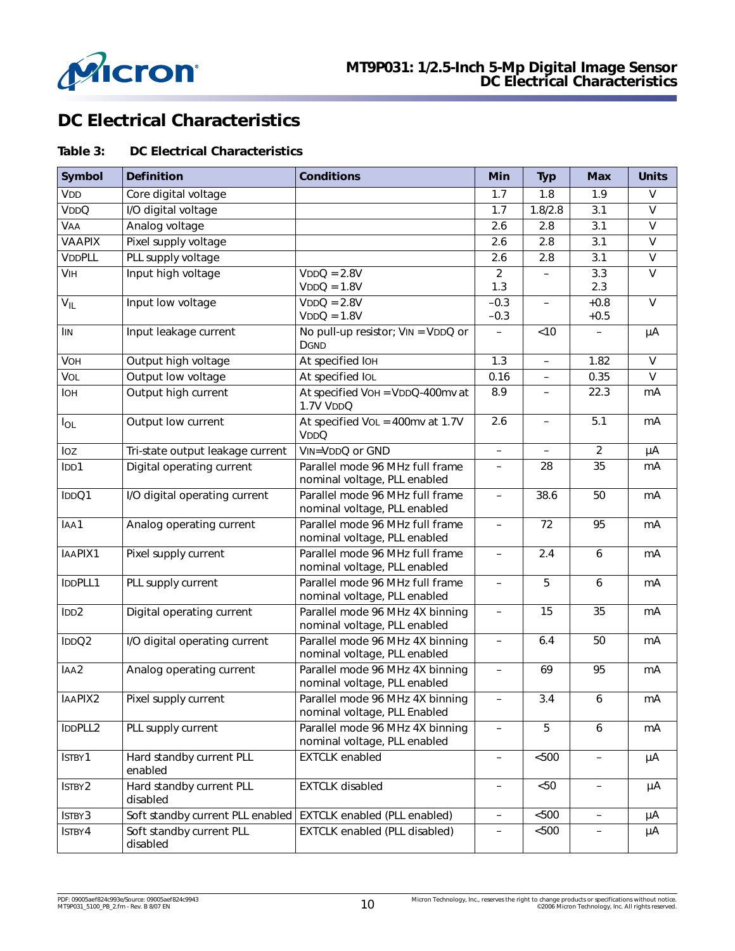

# **DC Electrical Characteristics**

### **Table 3: DC Electrical Characteristics**

| <b>Symbol</b>    | <b>Definition</b>                                               | <b>Conditions</b>                                               | Min                      | <b>Typ</b>               | <b>Max</b>               | <b>Units</b>            |
|------------------|-----------------------------------------------------------------|-----------------------------------------------------------------|--------------------------|--------------------------|--------------------------|-------------------------|
| V <sub>DD</sub>  | Core digital voltage                                            |                                                                 | 1.7                      | 1.8                      | 1.9                      | $\vee$                  |
| VDDQ             | I/O digital voltage                                             |                                                                 | 1.7                      | 1.8/2.8                  | 3.1                      | $\vee$                  |
| <b>VAA</b>       | Analog voltage                                                  |                                                                 | 2.6                      | 2.8                      | 3.1                      | V                       |
| <b>VAAPIX</b>    | Pixel supply voltage                                            |                                                                 | 2.6                      | 2.8                      | 3.1                      | $\vee$                  |
| <b>VDDPLL</b>    | PLL supply voltage                                              |                                                                 | 2.6                      | 2.8                      | 3.1                      | $\overline{\mathsf{v}}$ |
| <b>VIH</b>       | Input high voltage                                              | $VDDQ = 2.8V$                                                   | $\overline{2}$           |                          | 3.3                      | $\vee$                  |
|                  |                                                                 | $VDDQ = 1.8V$                                                   | 1.3                      |                          | 2.3                      |                         |
| $V_{IL}$         | Input low voltage                                               | $VDDQ = 2.8V$                                                   | $-0.3$                   | $\equiv$                 | $+0.8$                   | $\overline{V}$          |
|                  |                                                                 | $VDDQ = 1.8V$                                                   | $-0.3$                   |                          | $+0.5$                   |                         |
| <b>IIN</b>       | Input leakage current                                           | No pull-up resistor; VIN = VDDQ or<br><b>DGND</b>               | $\qquad \qquad -$        | <10                      | $\qquad \qquad -$        | μA                      |
| VOH              | Output high voltage                                             | At specified IOH                                                | 1.3                      | $\qquad \qquad -$        | 1.82                     | $\vee$                  |
| VOL              | Output low voltage                                              | At specified IOL                                                | 0.16                     | $\overline{\phantom{0}}$ | 0.35                     | $\vee$                  |
| <b>I</b> OH      | Output high current                                             | At specified VOH = VDDQ-400mv at<br>1.7V VDDQ                   | 8.9                      | $\overline{\phantom{0}}$ | 22.3                     | mA                      |
| $I_{OL}$         | Output low current                                              | At specified VoL = 400mv at 1.7V<br><b>VDDQ</b>                 | 2.6                      | $\qquad \qquad -$        | 5.1                      | mA                      |
| loz              | Tri-state output leakage current                                | VIN=VDDQ or GND                                                 | $\equiv$                 | $\equiv$                 | $\overline{2}$           | μA                      |
| IDD1             | Digital operating current                                       | Parallel mode 96 MHz full frame<br>nominal voltage, PLL enabled | $\frac{1}{2}$            | 28                       | 35                       | mA                      |
| IDDQ1            | I/O digital operating current                                   | Parallel mode 96 MHz full frame<br>nominal voltage, PLL enabled | $\overline{\phantom{0}}$ | 38.6                     | 50                       | mA                      |
| IAA1             | Analog operating current                                        | Parallel mode 96 MHz full frame<br>nominal voltage, PLL enabled | $\qquad \qquad -$        | 72                       | 95                       | mA                      |
| IAAPIX1          | Pixel supply current                                            | Parallel mode 96 MHz full frame<br>nominal voltage, PLL enabled | $\overline{\phantom{0}}$ | 2.4                      | 6                        | mA                      |
| IDDPLL1          | PLL supply current                                              | Parallel mode 96 MHz full frame<br>nominal voltage, PLL enabled |                          | 5                        | 6                        | mA                      |
| IDD <sub>2</sub> | Digital operating current                                       | Parallel mode 96 MHz 4X binning<br>nominal voltage, PLL enabled | $\overline{\phantom{0}}$ | 15                       | 35                       | mA                      |
| IDDQ2            | I/O digital operating current                                   | Parallel mode 96 MHz 4X binning<br>nominal voltage, PLL enabled | $\qquad \qquad -$        | 6.4                      | 50                       | mA                      |
| IAA2             | Analog operating current                                        | Parallel mode 96 MHz 4X binning<br>nominal voltage, PLL enabled | $\qquad \qquad -$        | 69                       | 95                       | mA                      |
| IAAPIX2          | Pixel supply current                                            | Parallel mode 96 MHz 4X binning<br>nominal voltage, PLL Enabled | $\qquad \qquad -$        | 3.4                      | 6                        | mA                      |
| IDDPLL2          | PLL supply current                                              | Parallel mode 96 MHz 4X binning<br>nominal voltage, PLL enabled |                          | 5                        | 6                        | mA                      |
| ISTBY1           | Hard standby current PLL<br>enabled                             | <b>EXTCLK</b> enabled                                           | $\overline{\phantom{0}}$ | < 500                    | $\qquad \qquad -$        | μA                      |
| ISTBY2           | Hard standby current PLL<br>disabled                            | <b>EXTCLK</b> disabled                                          | $\overline{\phantom{0}}$ | < 50                     | $\qquad \qquad -$        | μA                      |
| ISTBY3           | Soft standby current PLL enabled   EXTCLK enabled (PLL enabled) |                                                                 | $\overline{\phantom{0}}$ | $< 500$                  | $\overline{\phantom{a}}$ | μA                      |
| ISTBY4           | Soft standby current PLL<br>disabled                            | <b>EXTCLK enabled (PLL disabled)</b>                            |                          | $< 500$                  |                          | μA                      |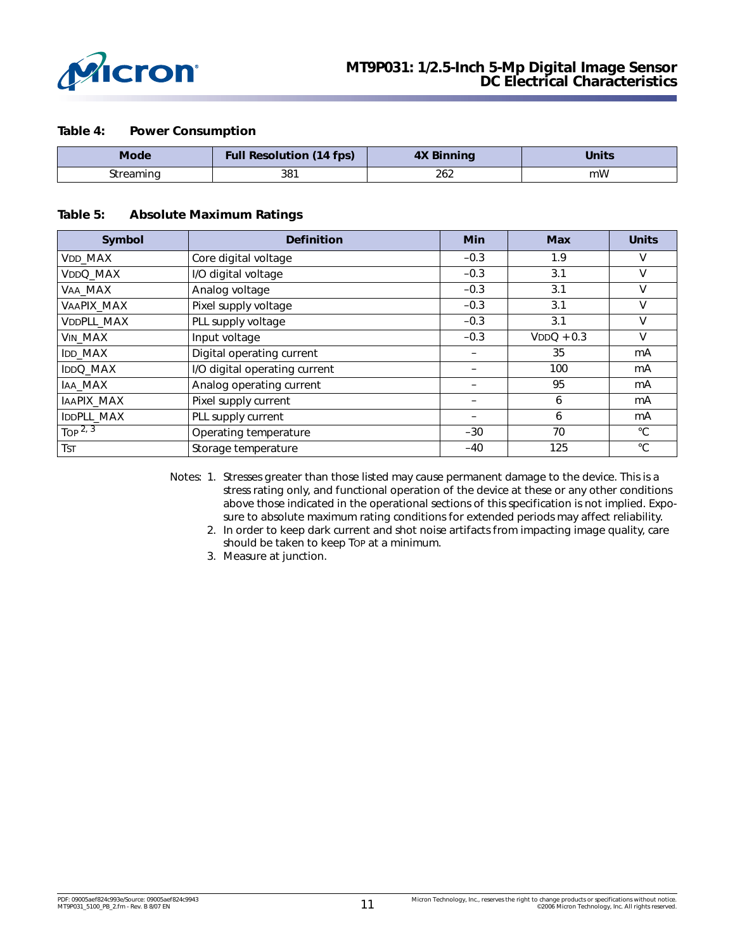

#### **Table 4: Power Consumption**

| <b>Mode</b> | <b>Full Resolution (14 fps)</b> | <b>4X Binning</b> | Units |
|-------------|---------------------------------|-------------------|-------|
| streaming   | 381                             | 262               | mW    |

#### **Table 5: Absolute Maximum Ratings**

| <b>Symbol</b>  | <b>Definition</b>             | <b>Min</b> | <b>Max</b>   | <b>Units</b> |
|----------------|-------------------------------|------------|--------------|--------------|
| VDD_MAX        | Core digital voltage          | $-0.3$     | 1.9          | v            |
| VDDQ_MAX       | I/O digital voltage           | $-0.3$     | 3.1          | v            |
| VAA_MAX        | Analog voltage                | $-0.3$     | 3.1          | v            |
| VAAPIX_MAX     | Pixel supply voltage          | $-0.3$     | 3.1          | V            |
| VDDPLL_MAX     | PLL supply voltage            | $-0.3$     | 3.1          | v            |
| VIN_MAX        | Input voltage                 | $-0.3$     | $VDDQ + 0.3$ | V            |
| <b>IDD MAX</b> | Digital operating current     |            | 35           | mA           |
| IDDQ_MAX       | I/O digital operating current |            | 100          | mA           |
| IAA_MAX        | Analog operating current      |            | 95           | mA           |
| IAAPIX_MAX     | Pixel supply current          |            | 6            | mA           |
| IDDPLL_MAX     | PLL supply current            |            | 6            | mA           |
| Top $2, 3$     | Operating temperature         | $-30$      | 70           | $^{\circ}C$  |
| <b>TST</b>     | Storage temperature           | $-40$      | 125          | $^{\circ}C$  |

<span id="page-10-1"></span><span id="page-10-0"></span>Notes: 1. Stresses greater than those listed may cause permanent damage to the device. This is a stress rating only, and functional operation of the device at these or any other conditions above those indicated in the operational sections of this specification is not implied. Exposure to absolute maximum rating conditions for extended periods may affect reliability.

- 2. In order to keep dark current and shot noise artifacts from impacting image quality, care should be taken to keep TOP at a minimum.
- 3. Measure at junction.